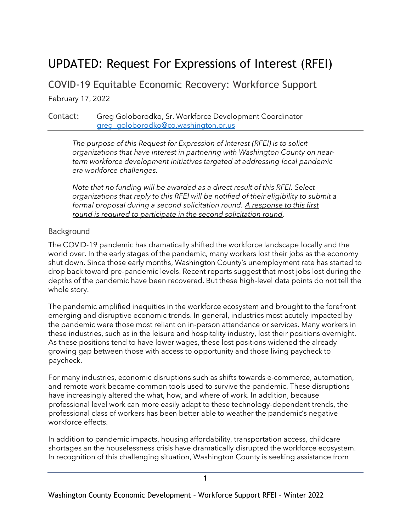# UPDATED: Request For Expressions of Interest (RFEI)

COVID-19 Equitable Economic Recovery: Workforce Support

February 17, 2022

Contact: Greg Goloborodko, Sr. Workforce Development Coordinator [greg\\_goloborodko@co.washington.or.us](mailto:greg_goloborodko@co.washington.or.us)

*The purpose of this Request for Expression of Interest (RFEI) is to solicit organizations that have interest in partnering with Washington County on nearterm workforce development initiatives targeted at addressing local pandemic era workforce challenges.*

*Note that no funding will be awarded as a direct result of this RFEI. Select organizations that reply to this RFEI will be notified of their eligibility to submit a formal proposal during a second solicitation round. A response to this first round is required to participate in the second solicitation round.* 

#### Background

The COVID-19 pandemic has dramatically shifted the workforce landscape locally and the world over. In the early stages of the pandemic, many workers lost their jobs as the economy shut down. Since those early months, Washington County's unemployment rate has started to drop back toward pre-pandemic levels. Recent reports suggest that most jobs lost during the depths of the pandemic have been recovered. But these high-level data points do not tell the whole story.

The pandemic amplified inequities in the workforce ecosystem and brought to the forefront emerging and disruptive economic trends. In general, industries most acutely impacted by the pandemic were those most reliant on in-person attendance or services. Many workers in these industries, such as in the leisure and hospitality industry, lost their positions overnight. As these positions tend to have lower wages, these lost positions widened the already growing gap between those with access to opportunity and those living paycheck to paycheck.

For many industries, economic disruptions such as shifts towards e-commerce, automation, and remote work became common tools used to survive the pandemic. These disruptions have increasingly altered the what, how, and where of work. In addition, because professional level work can more easily adapt to these technology-dependent trends, the professional class of workers has been better able to weather the pandemic's negative workforce effects.

In addition to pandemic impacts, housing affordability, transportation access, childcare shortages an the houselessness crisis have dramatically disrupted the workforce ecosystem. In recognition of this challenging situation, Washington County is seeking assistance from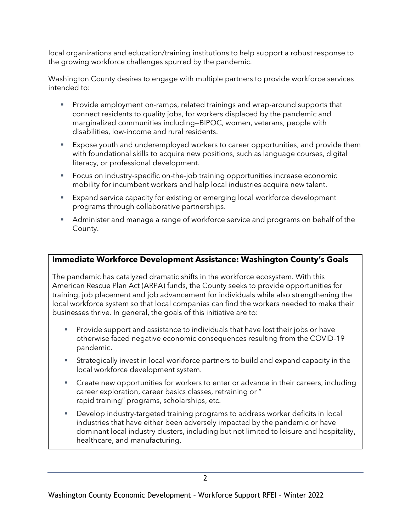local organizations and education/training institutions to help support a robust response to the growing workforce challenges spurred by the pandemic.

Washington County desires to engage with multiple partners to provide workforce services intended to:

- Provide employment on-ramps, related trainings and wrap-around supports that connect residents to quality jobs, for workers displaced by the pandemic and marginalized communities including—BIPOC, women, veterans, people with disabilities, low-income and rural residents.
- Expose youth and underemployed workers to career opportunities, and provide them with foundational skills to acquire new positions, such as language courses, digital literacy, or professional development.
- Focus on industry-specific on-the-job training opportunities increase economic mobility for incumbent workers and help local industries acquire new talent.
- **Expand service capacity for existing or emerging local workforce development** programs through collaborative partnerships.
- **EXED** Administer and manage a range of workforce service and programs on behalf of the County.

### **Immediate Workforce Development Assistance: Washington County's Goals**

The pandemic has catalyzed dramatic shifts in the workforce ecosystem. With this American Rescue Plan Act (ARPA) funds, the County seeks to provide opportunities for training, job placement and job advancement for individuals while also strengthening the local workforce system so that local companies can find the workers needed to make their businesses thrive. In general, the goals of this initiative are to:

- Provide support and assistance to individuals that have lost their jobs or have otherwise faced negative economic consequences resulting from the COVID-19 pandemic.
- **EXT** Strategically invest in local workforce partners to build and expand capacity in the local workforce development system.
- **EXP** Create new opportunities for workers to enter or advance in their careers, including career exploration, career basics classes, retraining or " rapid training" programs, scholarships, etc.
- Develop industry-targeted training programs to address worker deficits in local industries that have either been adversely impacted by the pandemic or have dominant local industry clusters, including but not limited to leisure and hospitality, healthcare, and manufacturing.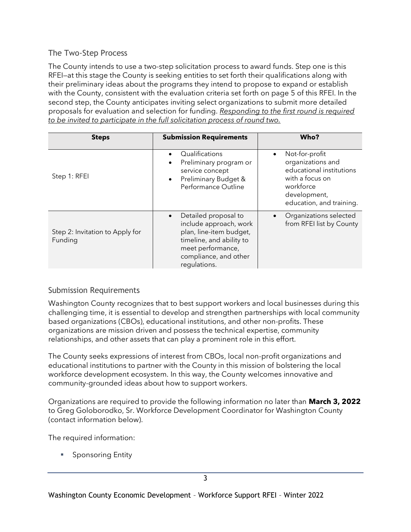#### The Two-Step Process

The County intends to use a two-step solicitation process to award funds. Step one is this RFEI—at this stage the County is seeking entities to set forth their qualifications along with their preliminary ideas about the programs they intend to propose to expand or establish with the County, consistent with the evaluation criteria set forth on page 5 of this RFEI. In the second step, the County anticipates inviting select organizations to submit more detailed proposals for evaluation and selection for funding. *Responding to the first round is required to be invited to participate in the full solicitation process of round two.*

| <b>Steps</b>                               | <b>Submission Requirements</b>                                                                                                                                                   | Who?                                                                                                                                                     |
|--------------------------------------------|----------------------------------------------------------------------------------------------------------------------------------------------------------------------------------|----------------------------------------------------------------------------------------------------------------------------------------------------------|
| Step 1: RFEI                               | Qualifications<br>$\bullet$<br>Preliminary program or<br>service concept<br>Preliminary Budget &<br>$\bullet$<br>Performance Outline                                             | Not-for-profit<br>$\bullet$<br>organizations and<br>educational institutions<br>with a focus on<br>workforce<br>development,<br>education, and training. |
| Step 2: Invitation to Apply for<br>Funding | Detailed proposal to<br>$\bullet$<br>include approach, work<br>plan, line-item budget,<br>timeline, and ability to<br>meet performance,<br>compliance, and other<br>regulations. | Organizations selected<br>$\bullet$<br>from RFEI list by County                                                                                          |

## Submission Requirements

Washington County recognizes that to best support workers and local businesses during this challenging time, it is essential to develop and strengthen partnerships with local community based organizations (CBOs), educational institutions, and other non-profits. These organizations are mission driven and possess the technical expertise, community relationships, and other assets that can play a prominent role in this effort.

The County seeks expressions of interest from CBOs, local non-profit organizations and educational institutions to partner with the County in this mission of bolstering the local workforce development ecosystem. In this way, the County welcomes innovative and community-grounded ideas about how to support workers.

Organizations are required to provide the following information no later than **March 3, 2022** to Greg Goloborodko, Sr. Workforce Development Coordinator for Washington County (contact information below).

The required information:

■ Sponsoring Entity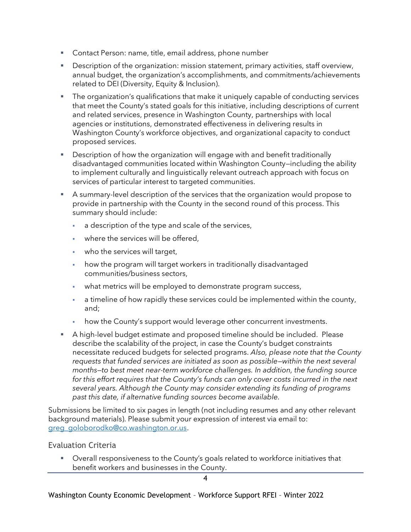- Contact Person: name, title, email address, phone number
- **EXE** Description of the organization: mission statement, primary activities, staff overview, annual budget, the organization's accomplishments, and commitments/achievements related to DEI (Diversity, Equity & Inclusion).
- **•** The organization's qualifications that make it uniquely capable of conducting services that meet the County's stated goals for this initiative, including descriptions of current and related services, presence in Washington County, partnerships with local agencies or institutions, demonstrated effectiveness in delivering results in Washington County's workforce objectives, and organizational capacity to conduct proposed services.
- Description of how the organization will engage with and benefit traditionally disadvantaged communities located within Washington County—including the ability to implement culturally and linguistically relevant outreach approach with focus on services of particular interest to targeted communities.
- A summary-level description of the services that the organization would propose to provide in partnership with the County in the second round of this process. This summary should include:
	- a description of the type and scale of the services,
	- where the services will be offered.
	- who the services will target,
	- how the program will target workers in traditionally disadvantaged communities/business sectors,
	- . what metrics will be employed to demonstrate program success,
	- a timeline of how rapidly these services could be implemented within the county, and;
	- how the County's support would leverage other concurrent investments.
- **E** A high-level budget estimate and proposed timeline should be included. Please describe the scalability of the project, in case the County's budget constraints necessitate reduced budgets for selected programs. *Also, please note that the County requests that funded services are initiated as soon as possible—within the next several months—to best meet near-term workforce challenges. In addition, the funding source*  for this effort requires that the County's funds can only cover costs incurred in the next *several years. Although the County may consider extending its funding of programs past this date, if alternative funding sources become available.*

Submissions be limited to six pages in length (not including resumes and any other relevant background materials). Please submit your expression of interest via email to: [greg\\_goloborodko@co.washington.or.us.](/Users/greggoloborodko/Desktop/greg_goloborodko@co.washington.or.us)

#### Evaluation Criteria

Overall responsiveness to the County's goals related to workforce initiatives that benefit workers and businesses in the County.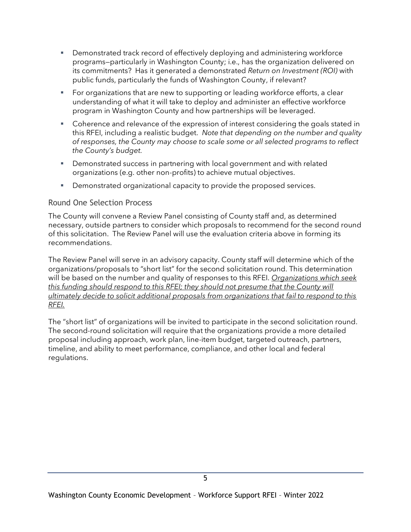- Demonstrated track record of effectively deploying and administering workforce programs—particularly in Washington County; i.e., has the organization delivered on its commitments? Has it generated a demonstrated *Return on Investment (ROI)* with public funds, particularly the funds of Washington County, if relevant?
- For organizations that are new to supporting or leading workforce efforts, a clear understanding of what it will take to deploy and administer an effective workforce program in Washington County and how partnerships will be leveraged.
- Coherence and relevance of the expression of interest considering the goals stated in this RFEI, including a realistic budget. *Note that depending on the number and quality of responses, the County may choose to scale some or all selected programs to reflect the County's budget.*
- **•** Demonstrated success in partnering with local government and with related organizations (e.g. other non-profits) to achieve mutual objectives.
- **•** Demonstrated organizational capacity to provide the proposed services.

#### Round One Selection Process

The County will convene a Review Panel consisting of County staff and, as determined necessary, outside partners to consider which proposals to recommend for the second round of this solicitation. The Review Panel will use the evaluation criteria above in forming its recommendations.

The Review Panel will serve in an advisory capacity. County staff will determine which of the organizations/proposals to "short list" for the second solicitation round. This determination will be based on the number and quality of responses to this RFEI. *Organizations which seek this funding should respond to this RFEI; they should not presume that the County will ultimately decide to solicit additional proposals from organizations that fail to respond to this RFEI.*

The "short list" of organizations will be invited to participate in the second solicitation round. The second-round solicitation will require that the organizations provide a more detailed proposal including approach, work plan, line-item budget, targeted outreach, partners, timeline, and ability to meet performance, compliance, and other local and federal regulations.